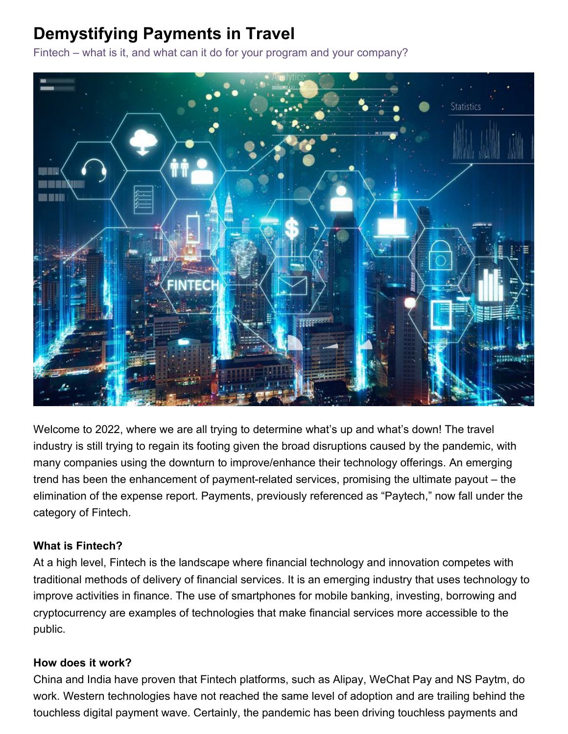# **Demystifying Payments in Travel**

Fintech – what is it, and what can it do for your program and your company?



Welcome to 2022, where we are all trying to determine what's up and what's down! The travel industry is still trying to regain its footing given the broad disruptions caused by the pandemic, with many companies using the downturn to improve/enhance their technology offerings. An emerging trend has been the enhancement of payment-related services, promising the ultimate payout – the elimination of the expense report. Payments, previously referenced as "Paytech," now fall under the category of Fintech.

# **What is Fintech?**

At a high level, Fintech is the landscape where financial technology and innovation competes with traditional methods of delivery of financial services. It is an emerging industry that uses technology to improve activities in finance. The use of smartphones for mobile banking, investing, borrowing and cryptocurrency are examples of technologies that make financial services more accessible to the public.

#### **How does it work?**

China and India have proven that Fintech platforms, such as Alipay, WeChat Pay and NS Paytm, do work. Western technologies have not reached the same level of adoption and are trailing behind the touchless digital payment wave. Certainly, the pandemic has been driving touchless payments and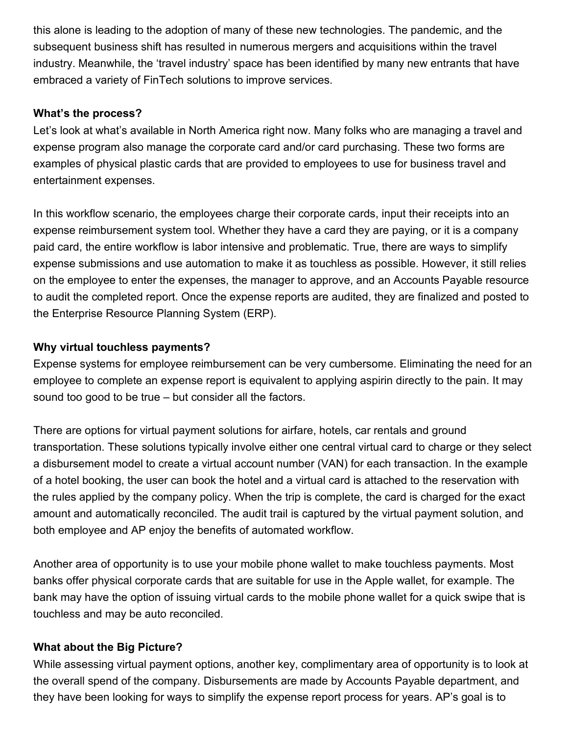this alone is leading to the adoption of many of these new technologies. The pandemic, and the subsequent business shift has resulted in numerous mergers and acquisitions within the travel industry. Meanwhile, the 'travel industry' space has been identified by many new entrants that have embraced a variety of FinTech solutions to improve services.

#### **What's the process?**

Let's look at what's available in North America right now. Many folks who are managing a travel and expense program also manage the corporate card and/or card purchasing. These two forms are examples of physical plastic cards that are provided to employees to use for business travel and entertainment expenses.

In this workflow scenario, the employees charge their corporate cards, input their receipts into an expense reimbursement system tool. Whether they have a card they are paying, or it is a company paid card, the entire workflow is labor intensive and problematic. True, there are ways to simplify expense submissions and use automation to make it as touchless as possible. However, it still relies on the employee to enter the expenses, the manager to approve, and an Accounts Payable resource to audit the completed report. Once the expense reports are audited, they are finalized and posted to the Enterprise Resource Planning System (ERP).

## **Why virtual touchless payments?**

Expense systems for employee reimbursement can be very cumbersome. Eliminating the need for an employee to complete an expense report is equivalent to applying aspirin directly to the pain. It may sound too good to be true – but consider all the factors.

There are options for virtual payment solutions for airfare, hotels, car rentals and ground transportation. These solutions typically involve either one central virtual card to charge or they select a disbursement model to create a virtual account number (VAN) for each transaction. In the example of a hotel booking, the user can book the hotel and a virtual card is attached to the reservation with the rules applied by the company policy. When the trip is complete, the card is charged for the exact amount and automatically reconciled. The audit trail is captured by the virtual payment solution, and both employee and AP enjoy the benefits of automated workflow.

Another area of opportunity is to use your mobile phone wallet to make touchless payments. Most banks offer physical corporate cards that are suitable for use in the Apple wallet, for example. The bank may have the option of issuing virtual cards to the mobile phone wallet for a quick swipe that is touchless and may be auto reconciled.

#### **What about the Big Picture?**

While assessing virtual payment options, another key, complimentary area of opportunity is to look at the overall spend of the company. Disbursements are made by Accounts Payable department, and they have been looking for ways to simplify the expense report process for years. AP's goal is to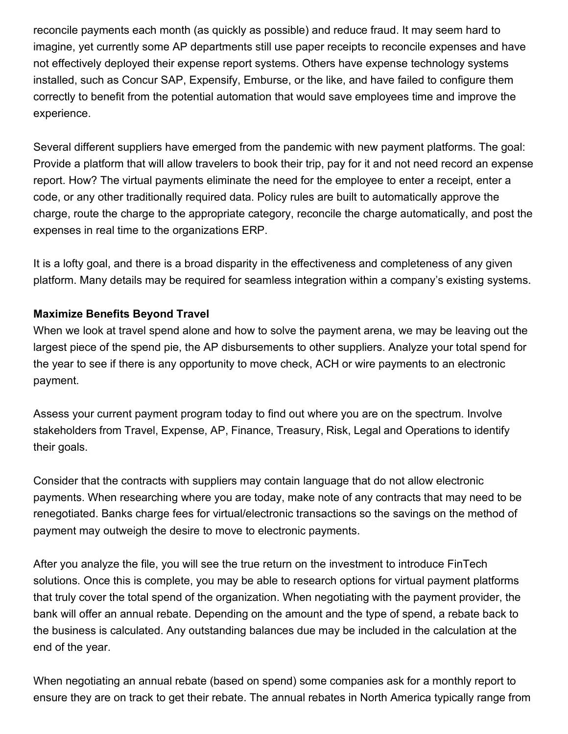reconcile payments each month (as quickly as possible) and reduce fraud. It may seem hard to imagine, yet currently some AP departments still use paper receipts to reconcile expenses and have not effectively deployed their expense report systems. Others have expense technology systems installed, such as Concur SAP, Expensify, Emburse, or the like, and have failed to configure them correctly to benefit from the potential automation that would save employees time and improve the experience.

Several different suppliers have emerged from the pandemic with new payment platforms. The goal: Provide a platform that will allow travelers to book their trip, pay for it and not need record an expense report. How? The virtual payments eliminate the need for the employee to enter a receipt, enter a code, or any other traditionally required data. Policy rules are built to automatically approve the charge, route the charge to the appropriate category, reconcile the charge automatically, and post the expenses in real time to the organizations ERP.

It is a lofty goal, and there is a broad disparity in the effectiveness and completeness of any given platform. Many details may be required for seamless integration within a company's existing systems.

## **Maximize Benefits Beyond Travel**

When we look at travel spend alone and how to solve the payment arena, we may be leaving out the largest piece of the spend pie, the AP disbursements to other suppliers. Analyze your total spend for the year to see if there is any opportunity to move check, ACH or wire payments to an electronic payment.

Assess your current payment program today to find out where you are on the spectrum. Involve stakeholders from Travel, Expense, AP, Finance, Treasury, Risk, Legal and Operations to identify their goals.

Consider that the contracts with suppliers may contain language that do not allow electronic payments. When researching where you are today, make note of any contracts that may need to be renegotiated. Banks charge fees for virtual/electronic transactions so the savings on the method of payment may outweigh the desire to move to electronic payments.

After you analyze the file, you will see the true return on the investment to introduce FinTech solutions. Once this is complete, you may be able to research options for virtual payment platforms that truly cover the total spend of the organization. When negotiating with the payment provider, the bank will offer an annual rebate. Depending on the amount and the type of spend, a rebate back to the business is calculated. Any outstanding balances due may be included in the calculation at the end of the year.

When negotiating an annual rebate (based on spend) some companies ask for a monthly report to ensure they are on track to get their rebate. The annual rebates in North America typically range from